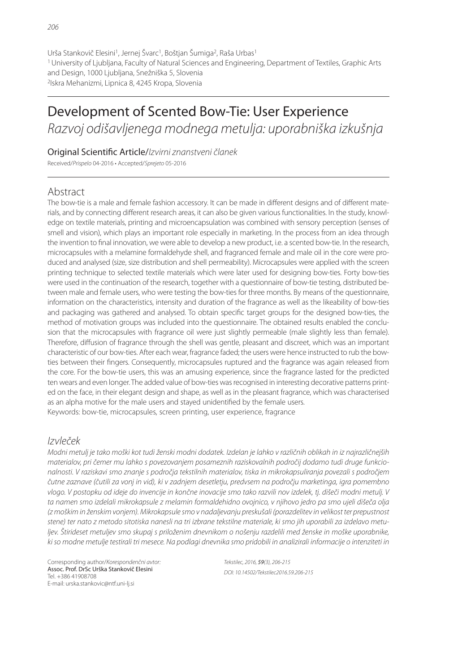Urša Stankovič Elesini<sup>1</sup>, Jernej Švarc<sup>1</sup>, Boštjan Šumiga<sup>2</sup>, Raša Urbas<sup>1</sup> <sup>1</sup>University of Ljubljana, Faculty of Natural Sciences and Engineering, Department of Textiles, Graphic Arts and Design, 1000 Ljubljana, Snežniška 5, Slovenia 2 Iskra Mehanizmi, Lipnica 8, 4245 Kropa, Slovenia

# Development of Scented Bow-Tie: User Experience *Razvoj odišavljenega modnega metulja: uporabniška izkušnja*

### Original Scienti! c Article/*Izvirni znanstveni članek*

Received/*Prispelo* 04-2016 • Accepted/*Sprejeto* 05-2016

## Abstract

The bow-tie is a male and female fashion accessory. It can be made in different designs and of different materials, and by connecting different research areas, it can also be given various functionalities. In the study, knowledge on textile materials, printing and microencapsulation was combined with sensory perception (senses of smell and vision), which plays an important role especially in marketing. In the process from an idea through the invention to final innovation, we were able to develop a new product, i.e. a scented bow-tie. In the research, microcapsules with a melamine formaldehyde shell, and fragranced female and male oil in the core were produced and analysed (size, size distribution and shell permeability). Microcapsules were applied with the screen printing technique to selected textile materials which were later used for designing bow-ties. Forty bow-ties were used in the continuation of the research, together with a questionnaire of bow-tie testing, distributed between male and female users, who were testing the bow-ties for three months. By means of the questionnaire, information on the characteristics, intensity and duration of the fragrance as well as the likeability of bow-ties and packaging was gathered and analysed. To obtain specific target groups for the designed bow-ties, the method of motivation groups was included into the questionnaire. The obtained results enabled the conclusion that the microcapsules with fragrance oil were just slightly permeable (male slightly less than female). Therefore, diffusion of fragrance through the shell was gentle, pleasant and discreet, which was an important characteristic of our bow-ties. After each wear, fragrance faded; the users were hence instructed to rub the bowties between their fingers. Consequently, microcapsules ruptured and the fragrance was again released from the core. For the bow-tie users, this was an amusing experience, since the fragrance lasted for the predicted ten wears and even longer. The added value of bow-ties was recognised in interesting decorative patterns printed on the face, in their elegant design and shape, as well as in the pleasant fragrance, which was characterised as an alpha motive for the male users and stayed unidentified by the female users. Keywords: bow-tie, microcapsules, screen printing, user experience, fragrance

## *Izvleček*

*Modni metulj je tako moški kot tudi ženski modni dodatek. Izdelan je lahko v različnih oblikah in iz najrazličnejših materialov, pri čemer mu lahko s povezovanjem posameznih raziskovalnih področij dodamo tudi druge funkcionalnosti. V raziskavi smo znanje s področja tekstilnih materialov, tiska in mikrokapsuliranja povezali s področjem čutne zaznave (čutili za vonj in vid), ki v zadnjem desetletju, predvsem na področju marketinga, igra pomembno vlogo. V postopku od ideje do invencije in končne inovacije smo tako razvili nov izdelek, tj. dišeči modni metulj. V ta namen smo izdelali mikrokapsule z melamin formaldehidno ovojnico, v njihovo jedro pa smo ujeli dišeča olja (z moškim in ženskim vonjem). Mikrokapsule smo v nadaljevanju preskušali (porazdelitev in velikost ter prepustnost stene) ter nato z metodo sitotiska nanesli na tri izbrane tekstilne materiale, ki smo jih uporabili za izdelavo metuljev. Štirideset metuljev smo skupaj s priloženim dnevnikom o nošenju razdelili med ženske in moške uporabnike, ki so modne metulje testirali tri mesece. Na podlagi dnevnika smo pridobili in analizirali informacije o intenziteti in* 

Corresponding author/*Korespondenčni avtor:* Assoc. Prof. DrSc Urška Stankovič Elesini Tel. +386 41908708 E-mail: urska.stankovic@ntf.uni-lj.si

*Tekstilec, 2016,* 59*(3), 206-215 DOI: 10.14502/Tekstilec2016.59.206-215*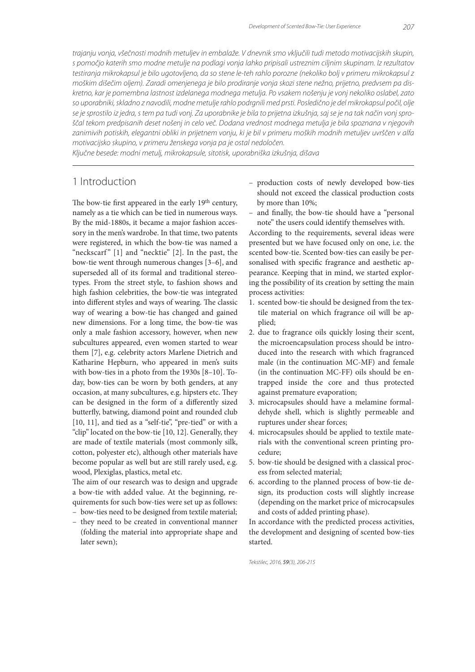*trajanju vonja, všečnosti modnih metuljev in embalaže. V dnevnik smo vključili tudi metodo motivacijskih skupin, s pomočjo katerih smo modne metulje na podlagi vonja lahko pripisali ustreznim ciljnim skupinam. Iz rezultatov testiranja mikrokapsul je bilo ugotovljeno, da so stene le-teh rahlo porozne (nekoliko bolj v primeru mikrokapsul z moškim dišečim oljem). Zaradi omenjenega je bilo prodiranje vonja skozi stene nežno, prijetno, predvsem pa diskretno, kar je pomembna lastnost izdelanega modnega metulja. Po vsakem nošenju je vonj nekoliko oslabel, zato so uporabniki, skladno z navodili, modne metulje rahlo podrgnili med prsti. Posledično je del mikrokapsul počil, olje se je sprostilo iz jedra, s tem pa tudi vonj. Za uporabnike je bila to prijetna izkušnja, saj se je na tak način vonj sproščal tekom predpisanih deset nošenj in celo več. Dodana vrednost modnega metulja je bila spoznana v njegovih*  zanimivih potiskih, elegantni obliki in prijetnem vonju, ki je bil v primeru moških modnih metuljev uvrščen v alfa *motivacijsko skupino, v primeru ženskega vonja pa je ostal nedoločen.*

*Ključne besede: modni metulj, mikrokapsule, sitotisk, uporabniška izkušnja, dišava*

# 1 Introduction

The bow-tie first appeared in the early 19th century, namely as a tie which can be tied in numerous ways. By the mid-1880s, it became a major fashion accessory in the men's wardrobe. In that time, two patents were registered, in which the bow-tie was named a "neckscarf"  $[1]$  and "necktie"  $[2]$ . In the past, the bow-tie went through numerous changes [3–6], and superseded all of its formal and traditional stereotypes. From the street style, to fashion shows and high fashion celebrities, the bow-tie was integrated into different styles and ways of wearing. The classic way of wearing a bow-tie has changed and gained new dimensions. For a long time, the bow-tie was only a male fashion accessory, however, when new subcultures appeared, even women started to wear them [7], e.g. celebrity actors Marlene Dietrich and Katharine Hepburn, who appeared in men's suits with bow-ties in a photo from the 1930s [8–10]. Today, bow-ties can be worn by both genders, at any occasion, at many subcultures, e.g. hipsters etc. They can be designed in the form of a differently sized butterfly, batwing, diamond point and rounded club [10, 11], and tied as a "self-tie", "pre-tied" or with a "clip" located on the bow-tie [10, 12]. Generally, they are made of textile materials (most commonly silk, cotton, polyester etc), although other materials have become popular as well but are still rarely used, e.g. wood, Plexiglas, plastics, metal etc.

The aim of our research was to design and upgrade a bow-tie with added value. At the beginning, requirements for such bow-ties were set up as follows: – bow-ties need to be designed from textile material;

 – they need to be created in conventional manner (folding the material into appropriate shape and later sewn);

- production costs of newly developed bow-ties should not exceed the classical production costs by more than 10%;
- and finally, the bow-tie should have a "personal note" the users could identify themselves with.

According to the requirements, several ideas were presented but we have focused only on one, i.e. the scented bow-tie. Scented bow-ties can easily be personalised with specific fragrance and aesthetic appearance. Keeping that in mind, we started exploring the possibility of its creation by setting the main process activities:

- 1. scented bow-tie should be designed from the textile material on which fragrance oil will be applied;
- 2. due to fragrance oils quickly losing their scent, the microencapsulation process should be introduced into the research with which fragranced male (in the continuation MC-MF) and female (in the continuation MC-FF) oils should be entrapped inside the core and thus protected against premature evaporation;
- 3. microcapsules should have a melamine formaldehyde shell, which is slightly permeable and ruptures under shear forces;
- 4. microcapsules should be applied to textile materials with the conventional screen printing procedure;
- 5. bow-tie should be designed with a classical process from selected material;
- 6. according to the planned process of bow-tie design, its production costs will slightly increase (depending on the market price of microcapsules and costs of added printing phase).

In accordance with the predicted process activities, the development and designing of scented bow-ties started.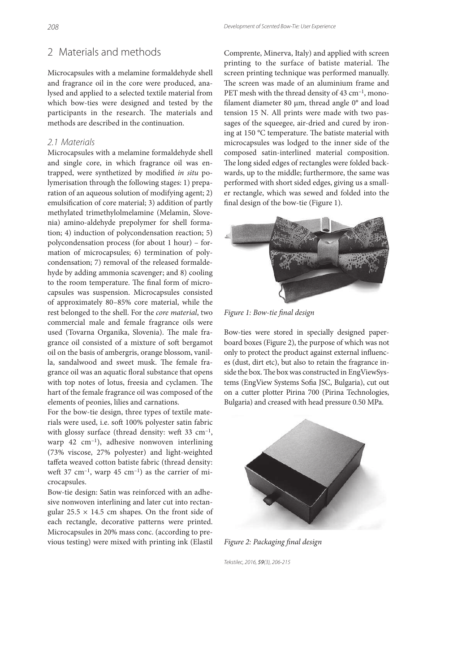# 2 Materials and methods

Microcapsules with a melamine formaldehyde shell and fragrance oil in the core were produced, analysed and applied to a selected textile material from which bow-ties were designed and tested by the participants in the research. The materials and methods are described in the continuation.

#### *2.1 Materials*

Microcapsules with a melamine formaldehyde shell and single core, in which fragrance oil was entrapped, were synthetized by modified in situ polymerisation through the following stages: 1) preparation of an aqueous solution of modifying agent; 2) emulsification of core material; 3) addition of partly methylated trimethylolmelamine (Melamin, Slovenia) amino-aldehyde prepolymer for shell formation; 4) induction of polycondensation reaction; 5) polycondensation process (for about 1 hour) – formation of microcapsules; 6) termination of polycondensation; 7) removal of the released formaldehyde by adding ammonia scavenger; and 8) cooling to the room temperature. The final form of microcapsules was suspension. Microcapsules consisted of approximately 80–85% core material, while the rest belonged to the shell. For the core material, two commercial male and female fragrance oils were used (Tovarna Organika, Slovenia). The male fragrance oil consisted of a mixture of soft bergamot oil on the basis of ambergris, orange blossom, vanilla, sandalwood and sweet musk. The female fragrance oil was an aquatic floral substance that opens with top notes of lotus, freesia and cyclamen. The hart of the female fragrance oil was composed of the elements of peonies, lilies and carnations.

For the bow-tie design, three types of textile materials were used, i.e. soft 100% polyester satin fabric with glossy surface (thread density: weft 33  $cm^{-1}$ , warp 42 cm<sup>-1</sup>), adhesive nonwoven interlining (73% viscose, 27% polyester) and light-weighted taffeta weaved cotton batiste fabric (thread density: weft 37 cm<sup>-1</sup>, warp 45 cm<sup>-1</sup>) as the carrier of microcapsules.

Bow-tie design: Satin was reinforced with an adhesive nonwoven interlining and later cut into rectangular  $25.5 \times 14.5$  cm shapes. On the front side of each rectangle, decorative patterns were printed. Microcapsules in 20% mass conc. (according to previous testing) were mixed with printing ink (Elastil Comprente, Minerva, Italy) and applied with screen printing to the surface of batiste material. The screen printing technique was performed manually. The screen was made of an aluminium frame and PET mesh with the thread density of 43 cm<sup>-1</sup>, monofilament diameter 80 μm, thread angle 0° and load tension 15 N. All prints were made with two passages of the squeegee, air-dried and cured by ironing at 150 °C temperature. The batiste material with microcapsules was lodged to the inner side of the composed satin-interlined material composition. The long sided edges of rectangles were folded backwards, up to the middle; furthermore, the same was performed with short sided edges, giving us a smaller rectangle, which was sewed and folded into the final design of the bow-tie (Figure 1).



Figure 1: Bow-tie final design

Bow-ties were stored in specially designed paperboard boxes (Figure 2), the purpose of which was not only to protect the product against external influences (dust, dirt etc), but also to retain the fragrance inside the box. The box was constructed in EngViewSystems (EngView Systems Sofia JSC, Bulgaria), cut out on a cutter plotter Pirina 700 (Pirina Technologies, Bulgaria) and creased with head pressure 0.50 MPa.



Figure 2: Packaging final design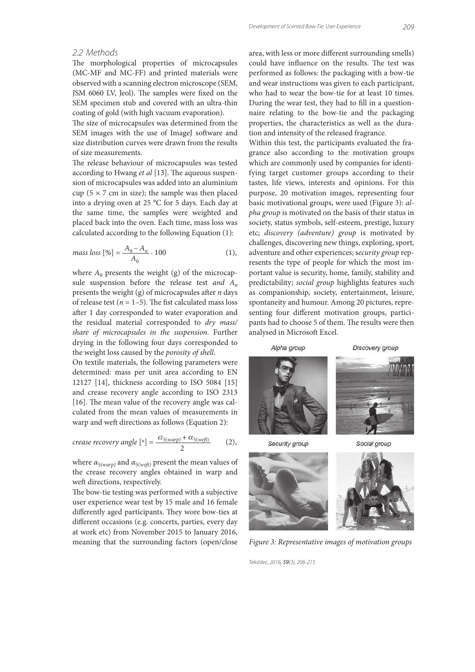#### *2.2 Methods*

The morphological properties of microcapsules (MC-MF and MC-FF) and printed materials were observed with a scanning electron microscope (SEM, JSM 6060 LV, Jeol). The samples were fixed on the SEM specimen stub and covered with an ultra-thin coating of gold (with high vacuum evaporation).

The size of microcapsules was determined from the SEM images with the use of ImageJ software and size distribution curves were drawn from the results of size measurements.

The release behaviour of microcapsules was tested according to Hwang et al  $[13]$ . The aqueous suspension of microcapsules was added into an aluminium cup ( $5 \times 7$  cm in size); the sample was then placed into a drying oven at 25 °C for 5 days. Each day at the same time, the samples were weighted and placed back into the oven. Each time, mass loss was calculated according to the following Equation (1):

mass loss 
$$
[%]
$$
 =  $\frac{A_0 - A_n}{A_0} \cdot 100$  (1),

where  $A_0$  presents the weight (g) of the microcapsule suspension before the release test and  $A_n$ presents the weight (g) of microcapsules after  $n$  days of release test ( $n = 1-5$ ). The fist calculated mass loss after 1 day corresponded to water evaporation and the residual material corresponded to dry mass/ share of microcapsules in the suspension. Further drying in the following four days corresponded to the weight loss caused by the porosity of shell.

On textile materials, the following parameters were determined: mass per unit area according to EN 12127 [14], thickness according to ISO 5084 [15] and crease recovery angle according to ISO 2313 [16]. The mean value of the recovery angle was calculated from the mean values of measurements in warp and weft directions as follows (Equation 2):

$$
crease recovery angle [°] = \frac{\alpha_{5(warp)} + \alpha_{5(wef)}}{2}
$$
 (2),

where  $\alpha_{5(warp)}$  and  $\alpha_{5(wetr)}$  present the mean values of the crease recovery angles obtained in warp and weft directions, respectively.

The bow-tie testing was performed with a subjective user experience wear test by 15 male and 16 female differently aged participants. They wore bow-ties at different occasions (e.g. concerts, parties, every day at work etc) from November 2015 to January 2016, meaning that the surrounding factors (open/close area, with less or more different surrounding smells) could have influence on the results. The test was performed as follows: the packaging with a bow-tie and wear instructions was given to each participant, who had to wear the bow-tie for at least 10 times. During the wear test, they had to fill in a questionnaire relating to the bow-tie and the packaging properties, the characteristics as well as the duration and intensity of the released fragrance.

Within this test, the participants evaluated the fragrance also according to the motivation groups which are commonly used by companies for identifying target customer groups according to their tastes, life views, interests and opinions. For this purpose, 20 motivation images, representing four basic motivational groups, were used (Figure 3): alpha group is motivated on the basis of their status in society, status symbols, self-esteem, prestige, luxury etc; discovery (adventure) group is motivated by challenges, discovering new things, exploring, sport, adventure and other experiences; security group represents the type of people for which the most important value is security, home, family, stability and predictability; social group highlights features such as companionship, society, entertainment, leisure, spontaneity and humour. Among 20 pictures, representing four different motivation groups, participants had to choose 5 of them. The results were then analysed in Microsoft Excel.

Alpha group



Discovery group

Security group

Social group



Figure 3: Representative images of motivation groups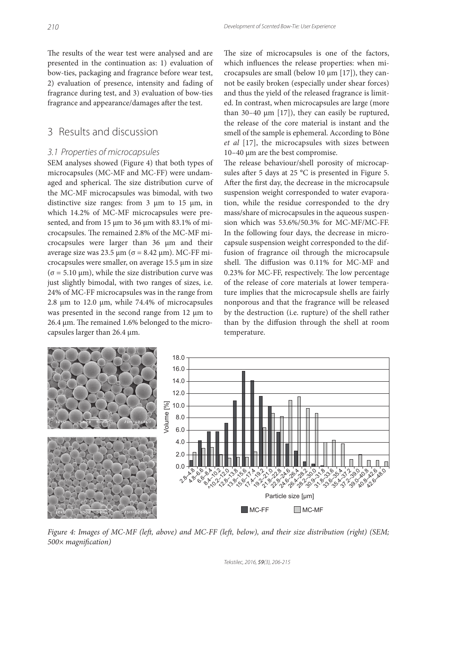The results of the wear test were analysed and are presented in the continuation as: 1) evaluation of bow-ties, packaging and fragrance before wear test, 2) evaluation of presence, intensity and fading of fragrance during test, and 3) evaluation of bow-ties fragrance and appearance/damages after the test.

## 3 Results and discussion

#### *3.1 Properties of microcapsules*

SEM analyses showed (Figure 4) that both types of microcapsules (MC-MF and MC-FF) were undamaged and spherical. The size distribution curve of the MC-MF microcapsules was bimodal, with two distinctive size ranges: from 3 μm to 15 μm, in which 14.2% of MC-MF microcapsules were presented, and from 15 μm to 36 μm with 83.1% of microcapsules. The remained 2.8% of the MC-MF microcapsules were larger than 36 μm and their average size was 23.5 μm ( $\sigma$  = 8.42 μm). MC-FF microcapsules were smaller, on average 15.5 μm in size (σ = 5.10 μm), while the size distribution curve was just slightly bimodal, with two ranges of sizes, i.e. 24% of MC-FF microcapsules was in the range from 2.8 μm to 12.0 μm, while 74.4% of microcapsules was presented in the second range from 12 μm to  $26.4 \,\mu m$ . The remained 1.6% belonged to the microcapsules larger than 26.4 μm.

The size of microcapsules is one of the factors, which influences the release properties: when microcapsules are small (below 10 μm [17]), they cannot be easily broken (especially under shear forces) and thus the yield of the released fragrance is limited. In contrast, when microcapsules are large (more than 30–40 μm [17]), they can easily be ruptured, the release of the core material is instant and the smell of the sample is ephemeral. According to Bône et al [17], the microcapsules with sizes between 10–40 μm are the best compromise.

The release behaviour/shell porosity of microcapsules after 5 days at 25  $^{\circ}$ C is presented in Figure 5. After the first day, the decrease in the microcapsule suspension weight corresponded to water evaporation, while the residue corresponded to the dry mass/share of microcapsules in the aqueous suspension which was 53.6%/50.3% for MC-MF/MC-FF. In the following four days, the decrease in microcapsule suspension weight corresponded to the diffusion of fragrance oil through the microcapsule shell. The diffusion was 0.11% for MC-MF and  $0.23\%$  for MC-FF, respectively. The low percentage of the release of core materials at lower temperature implies that the microcapsule shells are fairly nonporous and that the fragrance will be released by the destruction (i.e. rupture) of the shell rather than by the diffusion through the shell at room temperature.



Figure 4: Images of MC-MF (left, above) and MC-FF (left, below), and their size distribution (right) (SEM;  $500\times$  magnification)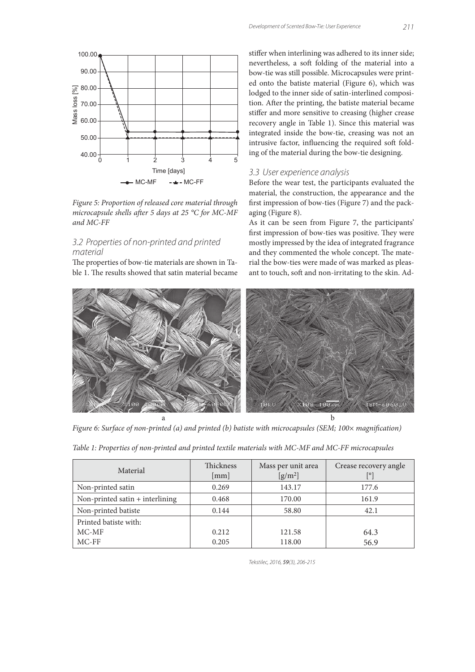

Figure 5: Proportion of released core material through microcapsule shells after 5 days at 25  $^{\circ}$ C for MC-MF and MC-FF

#### *3.2 Properties of non-printed and printed material*

The properties of bow-tie materials are shown in Table 1. The results showed that satin material became stiffer when interlining was adhered to its inner side; nevertheless, a soft folding of the material into a bow-tie was still possible. Microcapsules were printed onto the batiste material (Figure 6), which was lodged to the inner side of satin-interlined composition. After the printing, the batiste material became stiffer and more sensitive to creasing (higher crease recovery angle in Table 1). Since this material was integrated inside the bow-tie, creasing was not an intrusive factor, influencing the required soft folding of the material during the bow-tie designing.

#### *3.3 User experience analysis*

Before the wear test, the participants evaluated the material, the construction, the appearance and the first impression of bow-ties (Figure 7) and the packaging (Figure 8).

As it can be seen from Figure 7, the participants' first impression of bow-ties was positive. They were mostly impressed by the idea of integrated fragrance and they commented the whole concept. The material the bow-ties were made of was marked as pleasant to touch, soft and non-irritating to the skin. Ad-



Figure 6: Surface of non-printed (a) and printed (b) batiste with microcapsules (SEM; 100× magnification)

| Table 1: Properties of non-printed and printed textile materials with MC-MF and MC-FF microcapsules |  |  |  |  |  |  |  |  |  |  |
|-----------------------------------------------------------------------------------------------------|--|--|--|--|--|--|--|--|--|--|
|-----------------------------------------------------------------------------------------------------|--|--|--|--|--|--|--|--|--|--|

| Material                          | <b>Thickness</b><br>[mm] | Mass per unit area<br>$[g/m^2]$ | Crease recovery angle<br>[o] |
|-----------------------------------|--------------------------|---------------------------------|------------------------------|
| Non-printed satin                 | 0.269                    | 143.17                          | 177.6                        |
| Non-printed satin $+$ interlining | 0.468                    | 170.00                          | 161.9                        |
| Non-printed batiste               | 0.144                    | 58.80                           | 42.1                         |
| Printed batiste with:             |                          |                                 |                              |
| $MC-MF$                           | 0.212                    | 121.58                          | 64.3                         |
| $MC$ - $FF$                       | 0.205                    | 118.00                          | 56.9                         |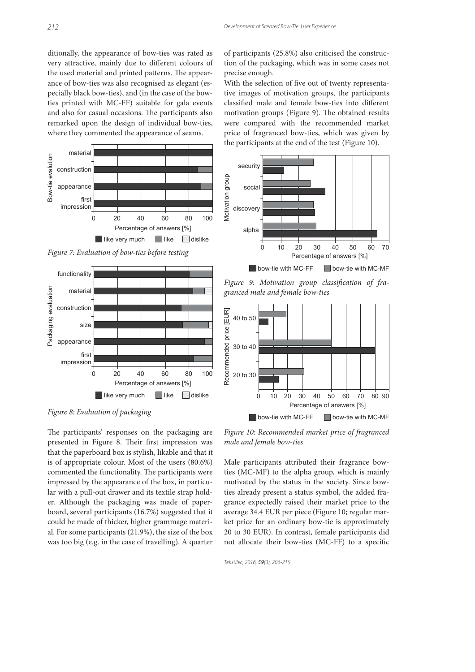ditionally, the appearance of bow-ties was rated as very attractive, mainly due to different colours of the used material and printed patterns. The appearance of bow-ties was also recognised as elegant (especially black bow-ties), and (in the case of the bowties printed with MC-FF) suitable for gala events and also for casual occasions. The participants also remarked upon the design of individual bow-ties, where they commented the appearance of seams.



Figure 7: Evaluation of bow-ties before testing



Figure 8: Evaluation of packaging

The participants' responses on the packaging are presented in Figure 8. Their first impression was that the paperboard box is stylish, likable and that it is of appropriate colour. Most of the users (80.6%) commented the functionality. The participants were impressed by the appearance of the box, in particular with a pull-out drawer and its textile strap holder. Although the packaging was made of paperboard, several participants (16.7%) suggested that it could be made of thicker, higher grammage material. For some participants (21.9%), the size of the box was too big (e.g. in the case of travelling). A quarter of participants (25.8%) also criticised the construction of the packaging, which was in some cases not precise enough.

With the selection of five out of twenty representative images of motivation groups, the participants classified male and female bow-ties into different motivation groups (Figure 9). The obtained results were compared with the recommended market price of fragranced bow-ties, which was given by the participants at the end of the test (Figure 10).



Figure 9: Motivation group classification of fragranced male and female bow-ties



Figure 10: Recommended market price of fragranced male and female bow-ties

Male participants attributed their fragrance bowties (MC-MF) to the alpha group, which is mainly motivated by the status in the society. Since bowties already present a status symbol, the added fragrance expectedly raised their market price to the average 34.4 EUR per piece (Figure 10; regular market price for an ordinary bow-tie is approximately 20 to 30 EUR). In contrast, female participants did not allocate their bow-ties (MC-FF) to a specific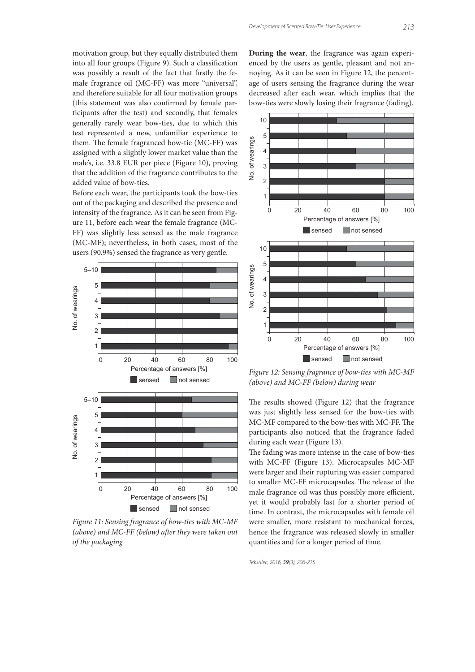motivation group, but they equally distributed them into all four groups (Figure 9). Such a classification was possibly a result of the fact that firstly the female fragrance oil (MC-FF) was more "universal", and therefore suitable for all four motivation groups (this statement was also confirmed by female participants after the test) and secondly, that females generally rarely wear bow-ties, due to which this test represented a new, unfamiliar experience to them. The female fragranced bow-tie (MC-FF) was assigned with a slightly lower market value than the male's, i.e. 33.8 EUR per piece (Figure 10), proving that the addition of the fragrance contributes to the added value of bow-ties.

Before each wear, the participants took the bow-ties out of the packaging and described the presence and intensity of the fragrance. As it can be seen from Figure 11, before each wear the female fragrance (MC-FF) was slightly less sensed as the male fragrance (MC-MF); nevertheless, in both cases, most of the users (90.9%) sensed the fragrance as very gentle.



Figure 11: Sensing fragrance of bow-ties with MC-MF (above) and  $MC$ -FF (below) after they were taken out of the packaging

**During the wear**, the fragrance was again experienced by the users as gentle, pleasant and not annoying. As it can be seen in Figure 12, the percentage of users sensing the fragrance during the wear decreased after each wear, which implies that the bow-ties were slowly losing their fragrance (fading).



Figure 12: Sensing fragrance of bow-ties with MC-MF (above) and MC-FF (below) during wear

The results showed (Figure 12) that the fragrance was just slightly less sensed for the bow-ties with MC-MF compared to the bow-ties with MC-FF. The participants also noticed that the fragrance faded during each wear (Figure 13).

The fading was more intense in the case of bow-ties with MC-FF (Figure 13). Microcapsules MC-MF were larger and their rupturing was easier compared to smaller MC-FF microcapsules. The release of the male fragrance oil was thus possibly more efficient, yet it would probably last for a shorter period of time. In contrast, the microcapsules with female oil were smaller, more resistant to mechanical forces, hence the fragrance was released slowly in smaller quantities and for a longer period of time.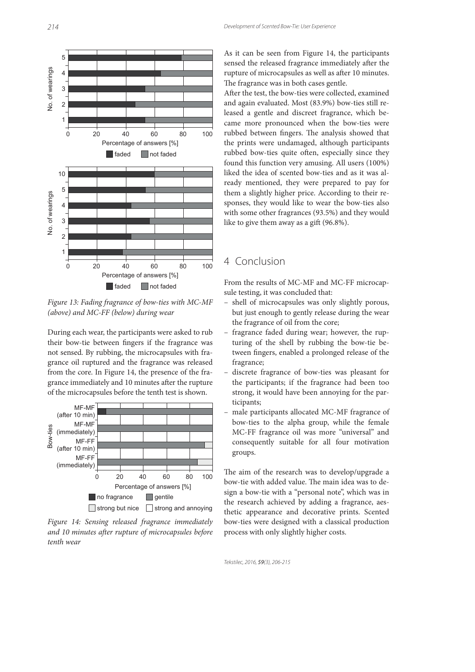

Figure 13: Fading fragrance of bow-ties with MC-MF (above) and MC-FF (below) during wear

During each wear, the participants were asked to rub their bow-tie between fingers if the fragrance was not sensed. By rubbing, the microcapsules with fragrance oil ruptured and the fragrance was released from the core. In Figure 14, the presence of the fragrance immediately and 10 minutes after the rupture of the microcapsules before the tenth test is shown.



Figure 14: Sensing released fragrance immediately and 10 minutes after rupture of microcapsules before tenth wear

As it can be seen from Figure 14, the participants sensed the released fragrance immediately after the rupture of microcapsules as well as after 10 minutes. The fragrance was in both cases gentle.

After the test, the bow-ties were collected, examined and again evaluated. Most (83.9%) bow-ties still released a gentle and discreet fragrance, which became more pronounced when the bow-ties were rubbed between fingers. The analysis showed that the prints were undamaged, although participants rubbed bow-ties quite often, especially since they found this function very amusing. All users (100%) liked the idea of scented bow-ties and as it was already mentioned, they were prepared to pay for them a slightly higher price. According to their responses, they would like to wear the bow-ties also with some other fragrances (93.5%) and they would like to give them away as a gift  $(96.8\%)$ .

### 4 Conclusion

From the results of MC-MF and MC-FF microcapsule testing, it was concluded that:

- shell of microcapsules was only slightly porous, but just enough to gently release during the wear the fragrance of oil from the core;
- fragrance faded during wear; however, the rupturing of the shell by rubbing the bow-tie between fingers, enabled a prolonged release of the fragrance;
- discrete fragrance of bow-ties was pleasant for the participants; if the fragrance had been too strong, it would have been annoying for the participants;
- male participants allocated MC-MF fragrance of bow-ties to the alpha group, while the female MC-FF fragrance oil was more "universal" and consequently suitable for all four motivation groups.

The aim of the research was to develop/upgrade a bow-tie with added value. The main idea was to design a bow-tie with a "personal note", which was in the research achieved by adding a fragrance, aesthetic appearance and decorative prints. Scented bow-ties were designed with a classical production process with only slightly higher costs.